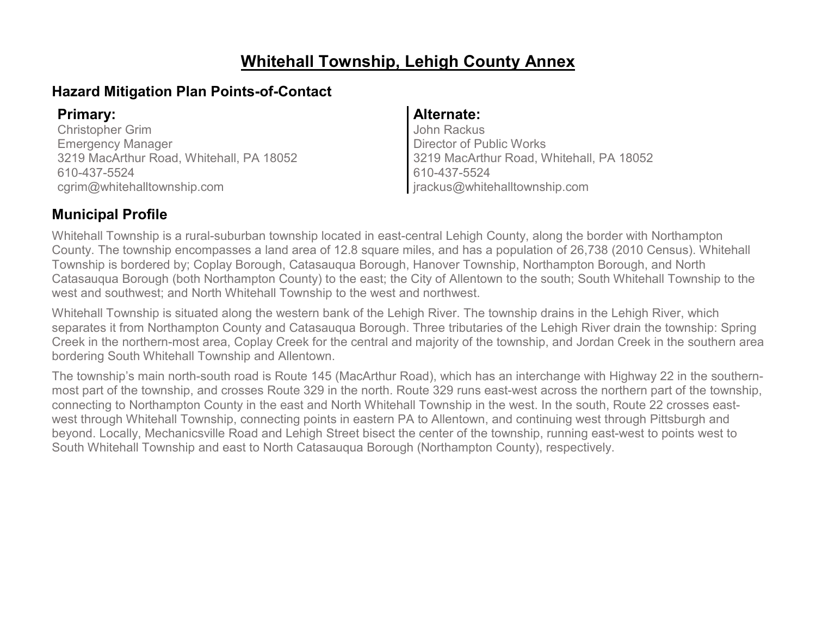## **Whitehall Township, Lehigh County Annex**

### **Hazard Mitigation Plan Points-of-Contact**

Christopher Grim Emergency Manager 3219 MacArthur Road, Whitehall, PA 18052 610-437-5524 cgrim@whitehalltownship.com

#### **Primary: Alternate:**

John Rackus Director of Public Works 3219 MacArthur Road, Whitehall, PA 18052 610-437-5524 jrackus@whitehalltownship.com

### **Municipal Profile**

Whitehall Township is a rural-suburban township located in east-central Lehigh County, along the border with Northampton County. The township encompasses a land area of 12.8 square miles, and has a population of 26,738 (2010 Census). Whitehall Township is bordered by; Coplay Borough, Catasauqua Borough, Hanover Township, Northampton Borough, and North Catasauqua Borough (both Northampton County) to the east; the City of Allentown to the south; South Whitehall Township to the west and southwest; and North Whitehall Township to the west and northwest.

Whitehall Township is situated along the western bank of the Lehigh River. The township drains in the Lehigh River, which separates it from Northampton County and Catasauqua Borough. Three tributaries of the Lehigh River drain the township: Spring Creek in the northern-most area, Coplay Creek for the central and majority of the township, and Jordan Creek in the southern area bordering South Whitehall Township and Allentown.

The township's main north-south road is Route 145 (MacArthur Road), which has an interchange with Highway 22 in the southernmost part of the township, and crosses Route 329 in the north. Route 329 runs east-west across the northern part of the township, connecting to Northampton County in the east and North Whitehall Township in the west. In the south, Route 22 crosses eastwest through Whitehall Township, connecting points in eastern PA to Allentown, and continuing west through Pittsburgh and beyond. Locally, Mechanicsville Road and Lehigh Street bisect the center of the township, running east-west to points west to South Whitehall Township and east to North Catasauqua Borough (Northampton County), respectively.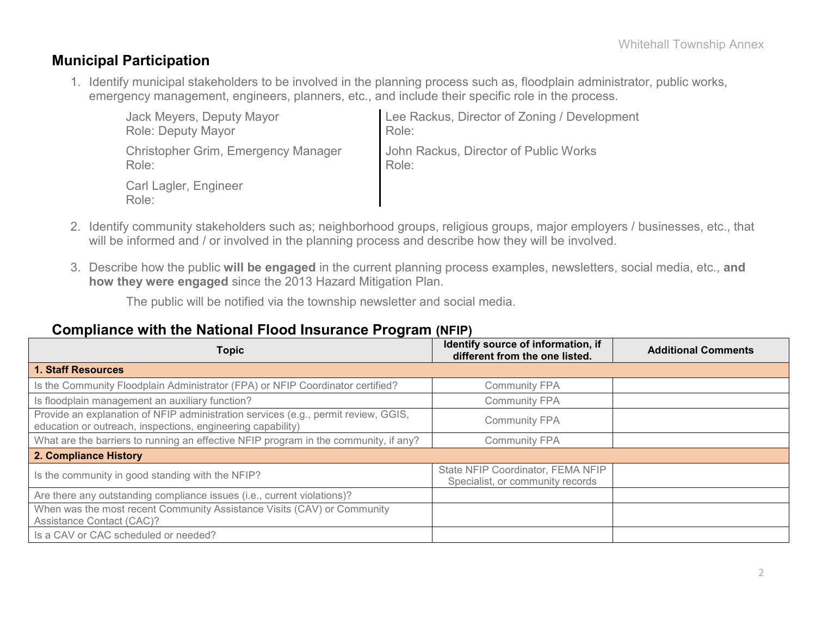#### **Municipal Participation**

1. Identify municipal stakeholders to be involved in the planning process such as, floodplain administrator, public works, emergency management, engineers, planners, etc., and include their specific role in the process.

| Jack Meyers, Deputy Mayor           | Lee Rackus, Director of Zoning / Development |
|-------------------------------------|----------------------------------------------|
| <b>Role: Deputy Mayor</b>           | Role:                                        |
| Christopher Grim, Emergency Manager | John Rackus, Director of Public Works        |
| Role:                               | Role:                                        |
| Carl Lagler, Engineer<br>Role:      |                                              |

- 2. Identify community stakeholders such as; neighborhood groups, religious groups, major employers / businesses, etc., that will be informed and / or involved in the planning process and describe how they will be involved.
- 3. Describe how the public **will be engaged** in the current planning process examples, newsletters, social media, etc., **and how they were engaged** since the 2013 Hazard Mitigation Plan.

The public will be notified via the township newsletter and social media.

#### **Compliance with the National Flood Insurance Program (NFIP)**

| <b>Topic</b>                                                                                                                                      | Identify source of information, if<br>different from the one listed.  | <b>Additional Comments</b> |
|---------------------------------------------------------------------------------------------------------------------------------------------------|-----------------------------------------------------------------------|----------------------------|
| <b>1. Staff Resources</b>                                                                                                                         |                                                                       |                            |
| Is the Community Floodplain Administrator (FPA) or NFIP Coordinator certified?                                                                    | <b>Community FPA</b>                                                  |                            |
| Is floodplain management an auxiliary function?                                                                                                   | <b>Community FPA</b>                                                  |                            |
| Provide an explanation of NFIP administration services (e.g., permit review, GGIS,<br>education or outreach, inspections, engineering capability) | <b>Community FPA</b>                                                  |                            |
| What are the barriers to running an effective NFIP program in the community, if any?                                                              | <b>Community FPA</b>                                                  |                            |
| 2. Compliance History                                                                                                                             |                                                                       |                            |
| Is the community in good standing with the NFIP?                                                                                                  | State NFIP Coordinator, FEMA NFIP<br>Specialist, or community records |                            |
| Are there any outstanding compliance issues (i.e., current violations)?                                                                           |                                                                       |                            |
| When was the most recent Community Assistance Visits (CAV) or Community<br>Assistance Contact (CAC)?                                              |                                                                       |                            |
| Is a CAV or CAC scheduled or needed?                                                                                                              |                                                                       |                            |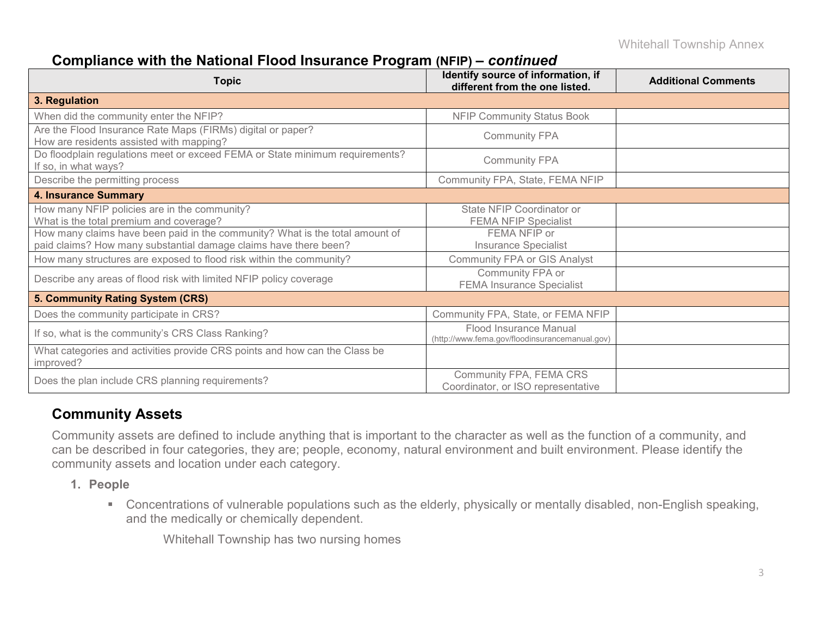### **Compliance with the National Flood Insurance Program (NFIP) –** *continued*

| <b>Topic</b>                                                                                                                                     | Identify source of information, if<br>different from the one listed.     | <b>Additional Comments</b> |
|--------------------------------------------------------------------------------------------------------------------------------------------------|--------------------------------------------------------------------------|----------------------------|
| 3. Regulation                                                                                                                                    |                                                                          |                            |
| When did the community enter the NFIP?                                                                                                           | <b>NFIP Community Status Book</b>                                        |                            |
| Are the Flood Insurance Rate Maps (FIRMs) digital or paper?<br>How are residents assisted with mapping?                                          | <b>Community FPA</b>                                                     |                            |
| Do floodplain regulations meet or exceed FEMA or State minimum requirements?<br>If so, in what ways?                                             | <b>Community FPA</b>                                                     |                            |
| Describe the permitting process                                                                                                                  | Community FPA, State, FEMA NFIP                                          |                            |
| <b>4. Insurance Summary</b>                                                                                                                      |                                                                          |                            |
| How many NFIP policies are in the community?<br>What is the total premium and coverage?                                                          | State NFIP Coordinator or<br><b>FEMA NFIP Specialist</b>                 |                            |
| How many claims have been paid in the community? What is the total amount of<br>paid claims? How many substantial damage claims have there been? | FEMA NFIP or<br><b>Insurance Specialist</b>                              |                            |
| How many structures are exposed to flood risk within the community?                                                                              | <b>Community FPA or GIS Analyst</b>                                      |                            |
| Describe any areas of flood risk with limited NFIP policy coverage                                                                               | Community FPA or<br><b>FEMA Insurance Specialist</b>                     |                            |
| 5. Community Rating System (CRS)                                                                                                                 |                                                                          |                            |
| Does the community participate in CRS?                                                                                                           | Community FPA, State, or FEMA NFIP                                       |                            |
| If so, what is the community's CRS Class Ranking?                                                                                                | Flood Insurance Manual<br>(http://www.fema.gov/floodinsurancemanual.gov) |                            |
| What categories and activities provide CRS points and how can the Class be<br>improved?                                                          |                                                                          |                            |
| Does the plan include CRS planning requirements?                                                                                                 | Community FPA, FEMA CRS<br>Coordinator, or ISO representative            |                            |

### **Community Assets**

Community assets are defined to include anything that is important to the character as well as the function of a community, and can be described in four categories, they are; people, economy, natural environment and built environment. Please identify the community assets and location under each category.

- **1. People**
	- Concentrations of vulnerable populations such as the elderly, physically or mentally disabled, non-English speaking, and the medically or chemically dependent.

Whitehall Township has two nursing homes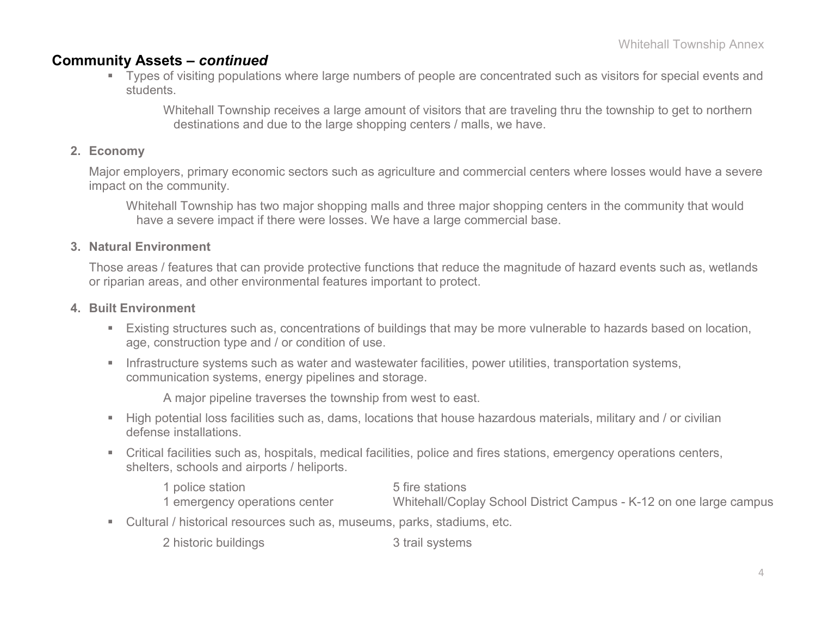#### **Community Assets –** *continued*

 Types of visiting populations where large numbers of people are concentrated such as visitors for special events and students.

Whitehall Township receives a large amount of visitors that are traveling thru the township to get to northern destinations and due to the large shopping centers / malls, we have.

#### **2. Economy**

Major employers, primary economic sectors such as agriculture and commercial centers where losses would have a severe impact on the community.

Whitehall Township has two major shopping malls and three major shopping centers in the community that would have a severe impact if there were losses. We have a large commercial base.

#### **3. Natural Environment**

Those areas / features that can provide protective functions that reduce the magnitude of hazard events such as, wetlands or riparian areas, and other environmental features important to protect.

#### **4. Built Environment**

- Existing structures such as, concentrations of buildings that may be more vulnerable to hazards based on location, age, construction type and / or condition of use.
- **Infrastructure systems such as water and wastewater facilities, power utilities, transportation systems,** communication systems, energy pipelines and storage.

A major pipeline traverses the township from west to east.

- High potential loss facilities such as, dams, locations that house hazardous materials, military and / or civilian defense installations.
- Critical facilities such as, hospitals, medical facilities, police and fires stations, emergency operations centers, shelters, schools and airports / heliports.

1 police station 5 fire stations<br>1 emergency operations center 6 Whitehall/Cop Whitehall/Coplay School District Campus - K-12 on one large campus

Cultural / historical resources such as, museums, parks, stadiums, etc.

2 historic buildings 3 trail systems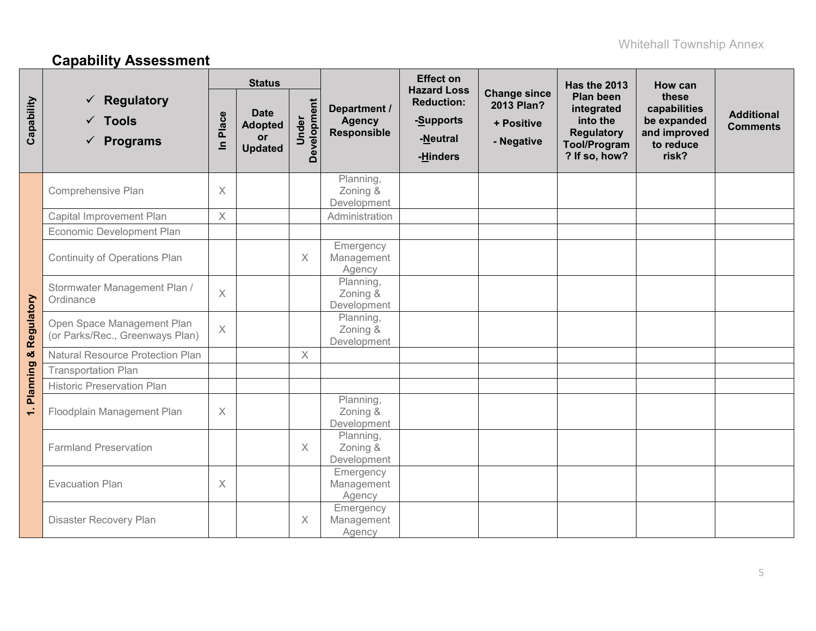# **Capability Assessment**

|            |                                                                  | <b>Status</b>                                                                                                                                                            |  |                                            |                                                               | <b>Effect on</b><br><b>Hazard Loss</b>                                                                  |                                                                            | Has the 2013                         | How can |  |
|------------|------------------------------------------------------------------|--------------------------------------------------------------------------------------------------------------------------------------------------------------------------|--|--------------------------------------------|---------------------------------------------------------------|---------------------------------------------------------------------------------------------------------|----------------------------------------------------------------------------|--------------------------------------|---------|--|
| Capability | <b>Regulatory</b><br>$\checkmark$ Tools<br>$\checkmark$ Programs | Development<br>Department /<br><b>Date</b><br>Place<br>Under<br><b>Agency</b><br><b>Adopted</b><br><b>Responsible</b><br>or<br>-Neutral<br>$\subseteq$<br><b>Updated</b> |  | <b>Reduction:</b><br>-Supports<br>-Hinders | <b>Change since</b><br>2013 Plan?<br>+ Positive<br>- Negative | <b>Plan been</b><br>integrated<br>into the<br><b>Regulatory</b><br><b>Tool/Program</b><br>? If so, how? | these<br>capabilities<br>be expanded<br>and improved<br>to reduce<br>risk? | <b>Additional</b><br><b>Comments</b> |         |  |
|            | Comprehensive Plan                                               | $\times$                                                                                                                                                                 |  |                                            | Planning,<br>Zoning &<br>Development                          |                                                                                                         |                                                                            |                                      |         |  |
|            | Capital Improvement Plan                                         | $\times$                                                                                                                                                                 |  |                                            | Administration                                                |                                                                                                         |                                                                            |                                      |         |  |
|            | Economic Development Plan                                        |                                                                                                                                                                          |  |                                            |                                                               |                                                                                                         |                                                                            |                                      |         |  |
|            | <b>Continuity of Operations Plan</b>                             |                                                                                                                                                                          |  | X                                          | Emergency<br>Management<br>Agency                             |                                                                                                         |                                                                            |                                      |         |  |
|            | Stormwater Management Plan /<br>Ordinance                        | $\times$                                                                                                                                                                 |  |                                            | Planning,<br>Zoning &<br>Development                          |                                                                                                         |                                                                            |                                      |         |  |
| Regulatory | Open Space Management Plan<br>(or Parks/Rec., Greenways Plan)    | $\mathsf X$                                                                                                                                                              |  |                                            | Planning,<br>Zoning &<br>Development                          |                                                                                                         |                                                                            |                                      |         |  |
| oð         | <b>Natural Resource Protection Plan</b>                          |                                                                                                                                                                          |  | $\times$                                   |                                                               |                                                                                                         |                                                                            |                                      |         |  |
|            | <b>Transportation Plan</b>                                       |                                                                                                                                                                          |  |                                            |                                                               |                                                                                                         |                                                                            |                                      |         |  |
| Planning   | <b>Historic Preservation Plan</b>                                |                                                                                                                                                                          |  |                                            |                                                               |                                                                                                         |                                                                            |                                      |         |  |
| $\div$     | Floodplain Management Plan                                       | $\times$                                                                                                                                                                 |  |                                            | Planning,<br>Zoning &<br>Development                          |                                                                                                         |                                                                            |                                      |         |  |
|            | <b>Farmland Preservation</b>                                     |                                                                                                                                                                          |  | $\times$                                   | Planning,<br>Zoning &<br>Development                          |                                                                                                         |                                                                            |                                      |         |  |
|            | <b>Evacuation Plan</b>                                           | $\times$                                                                                                                                                                 |  |                                            | Emergency<br>Management<br>Agency                             |                                                                                                         |                                                                            |                                      |         |  |
|            | Disaster Recovery Plan                                           |                                                                                                                                                                          |  | X                                          | Emergency<br>Management<br>Agency                             |                                                                                                         |                                                                            |                                      |         |  |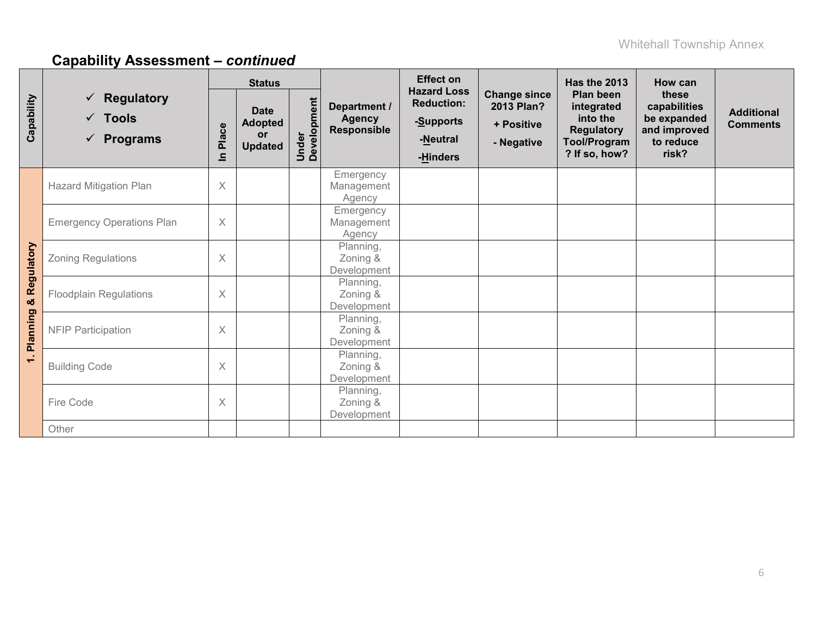|                                 |                                                                       | <b>Status</b> |                                                       |                      |                                                     | <b>Effect on</b>                                                             |                                                               | Has the 2013                                                                                     | How can                                                                    |                                      |
|---------------------------------|-----------------------------------------------------------------------|---------------|-------------------------------------------------------|----------------------|-----------------------------------------------------|------------------------------------------------------------------------------|---------------------------------------------------------------|--------------------------------------------------------------------------------------------------|----------------------------------------------------------------------------|--------------------------------------|
| Capability                      | <b>Regulatory</b><br>✓<br>$\checkmark$ Tools<br>$\checkmark$ Programs | Place<br>르    | <b>Date</b><br><b>Adopted</b><br>or<br><b>Updated</b> | Under<br>Development | Department /<br><b>Agency</b><br><b>Responsible</b> | <b>Hazard Loss</b><br><b>Reduction:</b><br>-Supports<br>-Neutral<br>-Hinders | <b>Change since</b><br>2013 Plan?<br>+ Positive<br>- Negative | Plan been<br>integrated<br>into the<br><b>Regulatory</b><br><b>Tool/Program</b><br>? If so, how? | these<br>capabilities<br>be expanded<br>and improved<br>to reduce<br>risk? | <b>Additional</b><br><b>Comments</b> |
|                                 | <b>Hazard Mitigation Plan</b>                                         | $\times$      |                                                       |                      | Emergency<br>Management<br>Agency                   |                                                                              |                                                               |                                                                                                  |                                                                            |                                      |
| & Regulatory                    | <b>Emergency Operations Plan</b>                                      | X             |                                                       |                      | Emergency<br>Management<br>Agency                   |                                                                              |                                                               |                                                                                                  |                                                                            |                                      |
|                                 | <b>Zoning Regulations</b>                                             | X             |                                                       |                      | Planning,<br>Zoning &<br>Development                |                                                                              |                                                               |                                                                                                  |                                                                            |                                      |
|                                 | <b>Floodplain Regulations</b>                                         | $\times$      |                                                       |                      | Planning,<br>Zoning &<br>Development                |                                                                              |                                                               |                                                                                                  |                                                                            |                                      |
| Planning                        | <b>NFIP Participation</b>                                             | X             |                                                       |                      | Planning,<br>Zoning &<br>Development                |                                                                              |                                                               |                                                                                                  |                                                                            |                                      |
| - 1<br>$\overline{\phantom{0}}$ | <b>Building Code</b>                                                  | $\times$      |                                                       |                      | Planning,<br>Zoning &<br>Development                |                                                                              |                                                               |                                                                                                  |                                                                            |                                      |
|                                 | Fire Code                                                             | X             |                                                       |                      | Planning,<br>Zoning &<br>Development                |                                                                              |                                                               |                                                                                                  |                                                                            |                                      |
|                                 | Other                                                                 |               |                                                       |                      |                                                     |                                                                              |                                                               |                                                                                                  |                                                                            |                                      |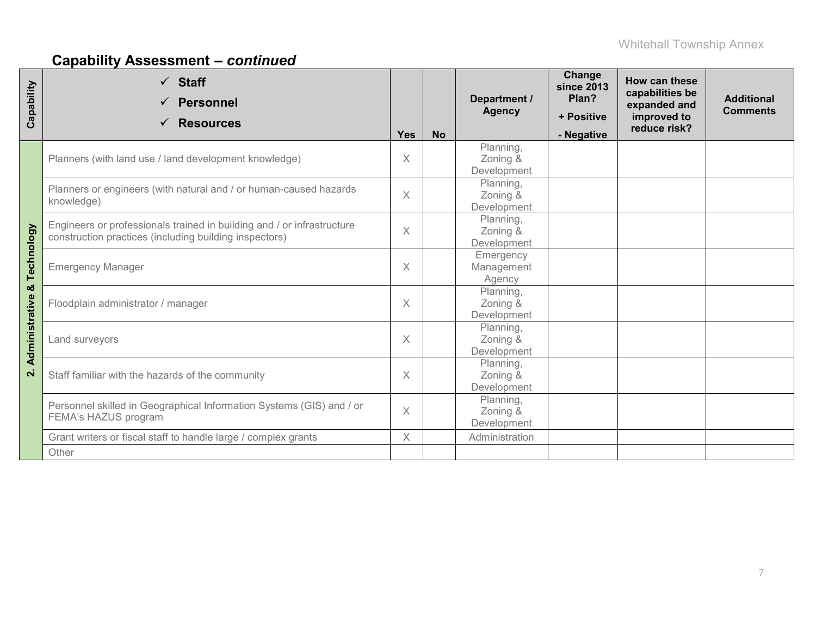| Capability         | $\checkmark$ Staff<br><b>Personnel</b><br><b>Resources</b><br>$\checkmark$                                                       | Yes      | <b>No</b> | Department /<br><b>Agency</b>        | Change<br><b>since 2013</b><br>Plan?<br>+ Positive<br>- Negative | How can these<br>capabilities be<br>expanded and<br>improved to<br>reduce risk? | <b>Additional</b><br><b>Comments</b> |
|--------------------|----------------------------------------------------------------------------------------------------------------------------------|----------|-----------|--------------------------------------|------------------------------------------------------------------|---------------------------------------------------------------------------------|--------------------------------------|
|                    | Planners (with land use / land development knowledge)                                                                            | X        |           | Planning,<br>Zoning &<br>Development |                                                                  |                                                                                 |                                      |
|                    | Planners or engineers (with natural and / or human-caused hazards<br>knowledge)                                                  | $\times$ |           | Planning,<br>Zoning &<br>Development |                                                                  |                                                                                 |                                      |
|                    | Engineers or professionals trained in building and / or infrastructure<br>construction practices (including building inspectors) | $\times$ |           | Planning,<br>Zoning &<br>Development |                                                                  |                                                                                 |                                      |
| Technology         | <b>Emergency Manager</b>                                                                                                         | X        |           | Emergency<br>Management<br>Agency    |                                                                  |                                                                                 |                                      |
| ×                  | Floodplain administrator / manager                                                                                               | $\times$ |           | Planning,<br>Zoning &<br>Development |                                                                  |                                                                                 |                                      |
| Administrative     | Land surveyors                                                                                                                   | $\times$ |           | Planning,<br>Zoning &<br>Development |                                                                  |                                                                                 |                                      |
| $\dot{\mathbf{r}}$ | Staff familiar with the hazards of the community                                                                                 | $\times$ |           | Planning,<br>Zoning &<br>Development |                                                                  |                                                                                 |                                      |
|                    | Personnel skilled in Geographical Information Systems (GIS) and / or<br>FEMA's HAZUS program                                     | $\times$ |           | Planning,<br>Zoning &<br>Development |                                                                  |                                                                                 |                                      |
|                    | Grant writers or fiscal staff to handle large / complex grants<br>Other                                                          | $\times$ |           | Administration                       |                                                                  |                                                                                 |                                      |
|                    |                                                                                                                                  |          |           |                                      |                                                                  |                                                                                 |                                      |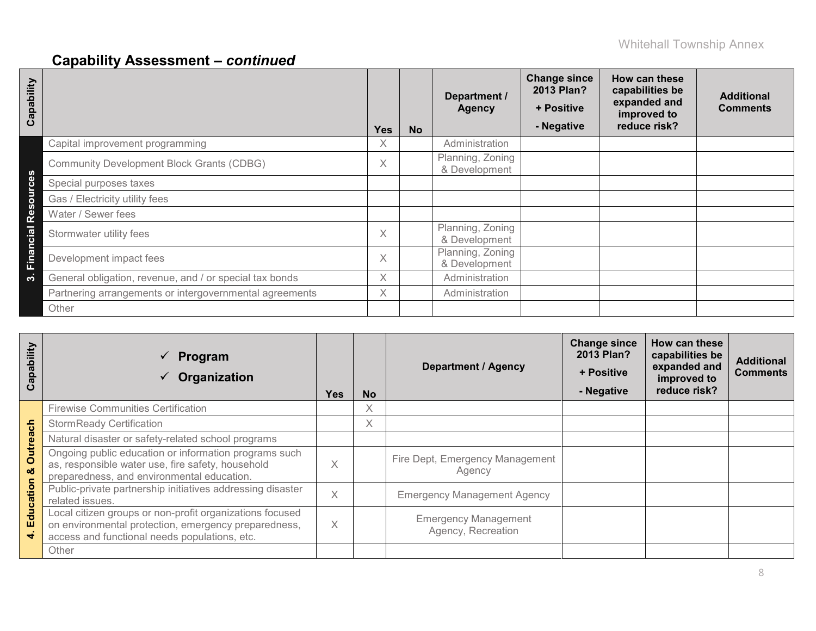| Capability      |                                                         | <b>Yes</b> | <b>No</b> | Department /<br><b>Agency</b>     | <b>Change since</b><br>2013 Plan?<br>+ Positive<br>- Negative | How can these<br>capabilities be<br>expanded and<br>improved to<br>reduce risk? | <b>Additional</b><br><b>Comments</b> |
|-----------------|---------------------------------------------------------|------------|-----------|-----------------------------------|---------------------------------------------------------------|---------------------------------------------------------------------------------|--------------------------------------|
|                 | Capital improvement programming                         | X.         |           | Administration                    |                                                               |                                                                                 |                                      |
|                 | <b>Community Development Block Grants (CDBG)</b>        | X          |           | Planning, Zoning<br>& Development |                                                               |                                                                                 |                                      |
|                 | Special purposes taxes                                  |            |           |                                   |                                                               |                                                                                 |                                      |
| $\overline{5}$  | Gas / Electricity utility fees                          |            |           |                                   |                                                               |                                                                                 |                                      |
| Ø)<br><b>P2</b> | Water / Sewer fees                                      |            |           |                                   |                                                               |                                                                                 |                                      |
| Cial            | Stormwater utility fees                                 | X          |           | Planning, Zoning<br>& Development |                                                               |                                                                                 |                                      |
| Finano          | Development impact fees                                 | X          |           | Planning, Zoning<br>& Development |                                                               |                                                                                 |                                      |
| က               | General obligation, revenue, and / or special tax bonds | X          |           | Administration                    |                                                               |                                                                                 |                                      |
|                 | Partnering arrangements or intergovernmental agreements | X          |           | Administration                    |                                                               |                                                                                 |                                      |
|                 | Other                                                   |            |           |                                   |                                                               |                                                                                 |                                      |

| Capability    | Program<br>$\checkmark$<br>Organization                                                                                                                           | Yes      | <b>No</b> | <b>Department / Agency</b>                        | <b>Change since</b><br>2013 Plan?<br>+ Positive<br>- Negative | How can these<br>capabilities be<br>expanded and<br>improved to<br>reduce risk? | <b>Additional</b><br><b>Comments</b> |
|---------------|-------------------------------------------------------------------------------------------------------------------------------------------------------------------|----------|-----------|---------------------------------------------------|---------------------------------------------------------------|---------------------------------------------------------------------------------|--------------------------------------|
|               | <b>Firewise Communities Certification</b>                                                                                                                         |          | $\times$  |                                                   |                                                               |                                                                                 |                                      |
|               | <b>StormReady Certification</b>                                                                                                                                   |          | X         |                                                   |                                                               |                                                                                 |                                      |
|               | Natural disaster or safety-related school programs                                                                                                                |          |           |                                                   |                                                               |                                                                                 |                                      |
| Outreach<br>ೲ | Ongoing public education or information programs such<br>as, responsible water use, fire safety, household<br>preparedness, and environmental education.          |          |           | Fire Dept, Emergency Management<br>Agency         |                                                               |                                                                                 |                                      |
|               | Public-private partnership initiatives addressing disaster<br>related issues.                                                                                     |          |           | <b>Emergency Management Agency</b>                |                                                               |                                                                                 |                                      |
| Education     | Local citizen groups or non-profit organizations focused<br>on environmental protection, emergency preparedness,<br>access and functional needs populations, etc. | $\times$ |           | <b>Emergency Management</b><br>Agency, Recreation |                                                               |                                                                                 |                                      |
|               | Other                                                                                                                                                             |          |           |                                                   |                                                               |                                                                                 |                                      |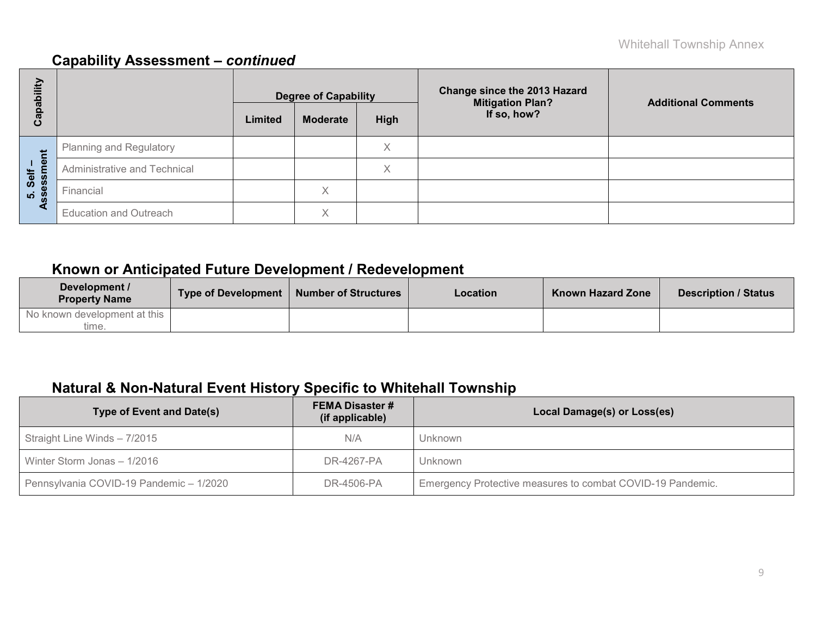| E<br>ھ               |                               | <b>Degree of Capability</b> |                   |      | <b>Change since the 2013 Hazard</b><br><b>Mitigation Plan?</b> | <b>Additional Comments</b> |  |
|----------------------|-------------------------------|-----------------------------|-------------------|------|----------------------------------------------------------------|----------------------------|--|
| <u>թզ</u><br>ပိ      |                               | Limited                     | <b>Moderate</b>   | High | If so, how?                                                    |                            |  |
|                      | Planning and Regulatory       |                             |                   | X    |                                                                |                            |  |
| nent<br>Self<br>assm | Administrative and Technical  |                             |                   | Χ    |                                                                |                            |  |
| <u>ທີ່ 8</u>         | Financial                     |                             | $\checkmark$<br>∧ |      |                                                                |                            |  |
| ⋖                    | <b>Education and Outreach</b> |                             | $\checkmark$<br>∧ |      |                                                                |                            |  |

### **Known or Anticipated Future Development / Redevelopment**

| Development /<br><b>Property Name</b> | <b>Type of Development</b> | <b>Number of Structures</b> | Location | <b>Known Hazard Zone</b> | <b>Description / Status</b> |
|---------------------------------------|----------------------------|-----------------------------|----------|--------------------------|-----------------------------|
| No known development at this<br>time. |                            |                             |          |                          |                             |

### **Natural & Non-Natural Event History Specific to Whitehall Township**

| Type of Event and Date(s)               | <b>FEMA Disaster #</b><br>(if applicable) | Local Damage(s) or Loss(es)                                |
|-----------------------------------------|-------------------------------------------|------------------------------------------------------------|
| Straight Line Winds - 7/2015            | N/A                                       | Unknown                                                    |
| Winter Storm Jonas - 1/2016             | DR-4267-PA                                | Unknown                                                    |
| Pennsylvania COVID-19 Pandemic - 1/2020 | DR-4506-PA                                | Emergency Protective measures to combat COVID-19 Pandemic. |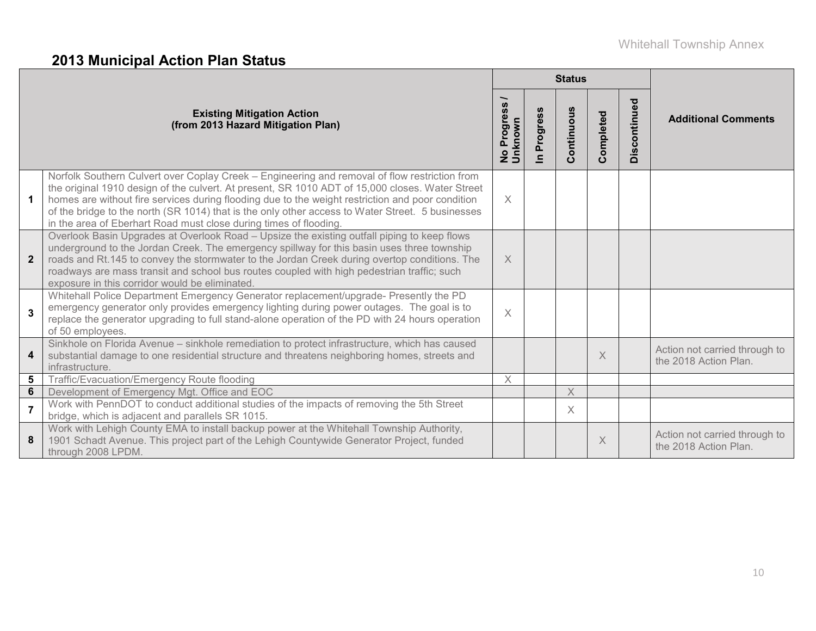# **2013 Municipal Action Plan Status**

|                |                                                                                                                                                                                                                                                                                                                                                                                                                                                                               |                                                |                      | <b>Status</b>                 |                         |              |                                                        |
|----------------|-------------------------------------------------------------------------------------------------------------------------------------------------------------------------------------------------------------------------------------------------------------------------------------------------------------------------------------------------------------------------------------------------------------------------------------------------------------------------------|------------------------------------------------|----------------------|-------------------------------|-------------------------|--------------|--------------------------------------------------------|
|                | <b>Existing Mitigation Action</b><br>(from 2013 Hazard Mitigation Plan)                                                                                                                                                                                                                                                                                                                                                                                                       | $\boldsymbol{\omega}$<br>No Progres<br>Unknown | Progress<br>$\equiv$ | ontinuous<br>$\tilde{\Omega}$ | ompleted<br>$\tilde{O}$ | Discontinued | <b>Additional Comments</b>                             |
| $\mathbf{1}$   | Norfolk Southern Culvert over Coplay Creek - Engineering and removal of flow restriction from<br>the original 1910 design of the culvert. At present, SR 1010 ADT of 15,000 closes. Water Street<br>homes are without fire services during flooding due to the weight restriction and poor condition<br>of the bridge to the north (SR 1014) that is the only other access to Water Street. 5 businesses<br>in the area of Eberhart Road must close during times of flooding. | $\times$                                       |                      |                               |                         |              |                                                        |
| $\mathbf{2}$   | Overlook Basin Upgrades at Overlook Road - Upsize the existing outfall piping to keep flows<br>underground to the Jordan Creek. The emergency spillway for this basin uses three township<br>roads and Rt.145 to convey the stormwater to the Jordan Creek during overtop conditions. The<br>roadways are mass transit and school bus routes coupled with high pedestrian traffic; such<br>exposure in this corridor would be eliminated.                                     | $\times$                                       |                      |                               |                         |              |                                                        |
| $\overline{3}$ | Whitehall Police Department Emergency Generator replacement/upgrade- Presently the PD<br>emergency generator only provides emergency lighting during power outages. The goal is to<br>replace the generator upgrading to full stand-alone operation of the PD with 24 hours operation<br>of 50 employees.                                                                                                                                                                     | $\times$                                       |                      |                               |                         |              |                                                        |
| 4              | Sinkhole on Florida Avenue - sinkhole remediation to protect infrastructure, which has caused<br>substantial damage to one residential structure and threatens neighboring homes, streets and<br>infrastructure.                                                                                                                                                                                                                                                              |                                                |                      |                               | $\times$                |              | Action not carried through to<br>the 2018 Action Plan. |
| 5              | Traffic/Evacuation/Emergency Route flooding                                                                                                                                                                                                                                                                                                                                                                                                                                   | $\times$                                       |                      |                               |                         |              |                                                        |
| 6              | Development of Emergency Mgt. Office and EOC                                                                                                                                                                                                                                                                                                                                                                                                                                  |                                                |                      | $\mathsf X$                   |                         |              |                                                        |
| $\overline{7}$ | Work with PennDOT to conduct additional studies of the impacts of removing the 5th Street<br>bridge, which is adjacent and parallels SR 1015.                                                                                                                                                                                                                                                                                                                                 |                                                |                      | X.                            |                         |              |                                                        |
| 8              | Work with Lehigh County EMA to install backup power at the Whitehall Township Authority,<br>1901 Schadt Avenue. This project part of the Lehigh Countywide Generator Project, funded<br>through 2008 LPDM.                                                                                                                                                                                                                                                                    |                                                |                      |                               | $\times$                |              | Action not carried through to<br>the 2018 Action Plan. |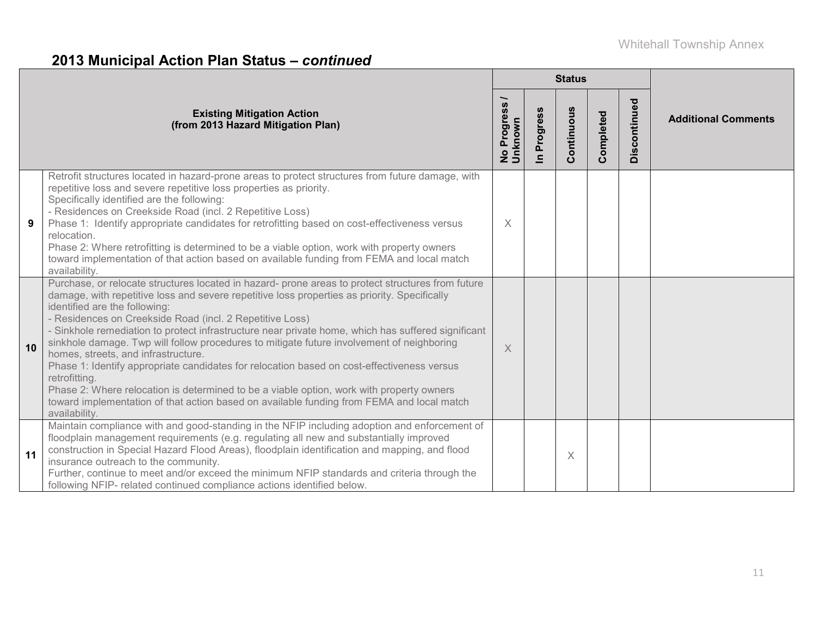# **2013 Municipal Action Plan Status –** *continued*

|    |                                                                                                                                                                                                                                                                                                                                                                                                                                                                                                                                                                                                                                                                                                                                                                                                                                                                   |                                        |                          | <b>Status</b> |           |              |                            |
|----|-------------------------------------------------------------------------------------------------------------------------------------------------------------------------------------------------------------------------------------------------------------------------------------------------------------------------------------------------------------------------------------------------------------------------------------------------------------------------------------------------------------------------------------------------------------------------------------------------------------------------------------------------------------------------------------------------------------------------------------------------------------------------------------------------------------------------------------------------------------------|----------------------------------------|--------------------------|---------------|-----------|--------------|----------------------------|
|    | <b>Existing Mitigation Action</b><br>(from 2013 Hazard Mitigation Plan)                                                                                                                                                                                                                                                                                                                                                                                                                                                                                                                                                                                                                                                                                                                                                                                           | SS.<br>Progres<br>No Progre<br>Unknown | Progress<br>$\mathbf{r}$ | Continuous    | Completed | Discontinued | <b>Additional Comments</b> |
| 9  | Retrofit structures located in hazard-prone areas to protect structures from future damage, with<br>repetitive loss and severe repetitive loss properties as priority.<br>Specifically identified are the following:<br>- Residences on Creekside Road (incl. 2 Repetitive Loss)<br>Phase 1: Identify appropriate candidates for retrofitting based on cost-effectiveness versus<br>relocation.<br>Phase 2: Where retrofitting is determined to be a viable option, work with property owners<br>toward implementation of that action based on available funding from FEMA and local match<br>availability.                                                                                                                                                                                                                                                       | $\times$                               |                          |               |           |              |                            |
| 10 | Purchase, or relocate structures located in hazard- prone areas to protect structures from future<br>damage, with repetitive loss and severe repetitive loss properties as priority. Specifically<br>identified are the following:<br>- Residences on Creekside Road (incl. 2 Repetitive Loss)<br>- Sinkhole remediation to protect infrastructure near private home, which has suffered significant<br>sinkhole damage. Twp will follow procedures to mitigate future involvement of neighboring<br>homes, streets, and infrastructure.<br>Phase 1: Identify appropriate candidates for relocation based on cost-effectiveness versus<br>retrofitting.<br>Phase 2: Where relocation is determined to be a viable option, work with property owners<br>toward implementation of that action based on available funding from FEMA and local match<br>availability. | $\times$                               |                          |               |           |              |                            |
| 11 | Maintain compliance with and good-standing in the NFIP including adoption and enforcement of<br>floodplain management requirements (e.g. regulating all new and substantially improved<br>construction in Special Hazard Flood Areas), floodplain identification and mapping, and flood<br>insurance outreach to the community.<br>Further, continue to meet and/or exceed the minimum NFIP standards and criteria through the<br>following NFIP- related continued compliance actions identified below.                                                                                                                                                                                                                                                                                                                                                          |                                        |                          | $\times$      |           |              |                            |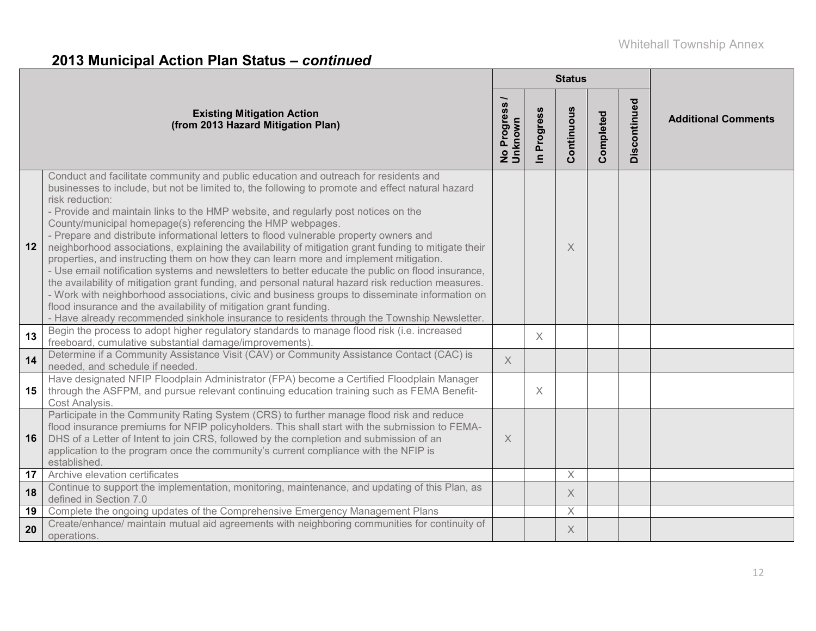# **2013 Municipal Action Plan Status –** *continued*

|    |                                                                                                                                                                                                                                                                                                                                                                                                                                                                                                                                                                                                                                                                                                                                                                                                                                                                                                                                                                                                                                                                                                                                             |                                  |                        | <b>Status</b> |           |              |                            |
|----|---------------------------------------------------------------------------------------------------------------------------------------------------------------------------------------------------------------------------------------------------------------------------------------------------------------------------------------------------------------------------------------------------------------------------------------------------------------------------------------------------------------------------------------------------------------------------------------------------------------------------------------------------------------------------------------------------------------------------------------------------------------------------------------------------------------------------------------------------------------------------------------------------------------------------------------------------------------------------------------------------------------------------------------------------------------------------------------------------------------------------------------------|----------------------------------|------------------------|---------------|-----------|--------------|----------------------------|
|    | <b>Existing Mitigation Action</b><br>(from 2013 Hazard Mitigation Plan)                                                                                                                                                                                                                                                                                                                                                                                                                                                                                                                                                                                                                                                                                                                                                                                                                                                                                                                                                                                                                                                                     | Progress<br>No Progre<br>Unknown | Progress<br>$\epsilon$ | Continuous    | Completed | Discontinued | <b>Additional Comments</b> |
| 12 | Conduct and facilitate community and public education and outreach for residents and<br>businesses to include, but not be limited to, the following to promote and effect natural hazard<br>risk reduction:<br>- Provide and maintain links to the HMP website, and regularly post notices on the<br>County/municipal homepage(s) referencing the HMP webpages.<br>- Prepare and distribute informational letters to flood vulnerable property owners and<br>neighborhood associations, explaining the availability of mitigation grant funding to mitigate their<br>properties, and instructing them on how they can learn more and implement mitigation.<br>- Use email notification systems and newsletters to better educate the public on flood insurance,<br>the availability of mitigation grant funding, and personal natural hazard risk reduction measures.<br>- Work with neighborhood associations, civic and business groups to disseminate information on<br>flood insurance and the availability of mitigation grant funding.<br>- Have already recommended sinkhole insurance to residents through the Township Newsletter. |                                  |                        | X             |           |              |                            |
| 13 | Begin the process to adopt higher regulatory standards to manage flood risk (i.e. increased<br>freeboard, cumulative substantial damage/improvements).                                                                                                                                                                                                                                                                                                                                                                                                                                                                                                                                                                                                                                                                                                                                                                                                                                                                                                                                                                                      |                                  | X                      |               |           |              |                            |
| 14 | Determine if a Community Assistance Visit (CAV) or Community Assistance Contact (CAC) is<br>needed, and schedule if needed.                                                                                                                                                                                                                                                                                                                                                                                                                                                                                                                                                                                                                                                                                                                                                                                                                                                                                                                                                                                                                 | $\times$                         |                        |               |           |              |                            |
| 15 | Have designated NFIP Floodplain Administrator (FPA) become a Certified Floodplain Manager<br>through the ASFPM, and pursue relevant continuing education training such as FEMA Benefit-<br>Cost Analysis.                                                                                                                                                                                                                                                                                                                                                                                                                                                                                                                                                                                                                                                                                                                                                                                                                                                                                                                                   |                                  | X                      |               |           |              |                            |
| 16 | Participate in the Community Rating System (CRS) to further manage flood risk and reduce<br>flood insurance premiums for NFIP policyholders. This shall start with the submission to FEMA-<br>DHS of a Letter of Intent to join CRS, followed by the completion and submission of an<br>application to the program once the community's current compliance with the NFIP is<br>established.                                                                                                                                                                                                                                                                                                                                                                                                                                                                                                                                                                                                                                                                                                                                                 | X                                |                        |               |           |              |                            |
| 17 | Archive elevation certificates                                                                                                                                                                                                                                                                                                                                                                                                                                                                                                                                                                                                                                                                                                                                                                                                                                                                                                                                                                                                                                                                                                              |                                  |                        | $\times$      |           |              |                            |
| 18 | Continue to support the implementation, monitoring, maintenance, and updating of this Plan, as<br>defined in Section 7.0                                                                                                                                                                                                                                                                                                                                                                                                                                                                                                                                                                                                                                                                                                                                                                                                                                                                                                                                                                                                                    |                                  |                        | $\times$      |           |              |                            |
| 19 | Complete the ongoing updates of the Comprehensive Emergency Management Plans                                                                                                                                                                                                                                                                                                                                                                                                                                                                                                                                                                                                                                                                                                                                                                                                                                                                                                                                                                                                                                                                |                                  |                        | $\times$      |           |              |                            |
| 20 | Create/enhance/ maintain mutual aid agreements with neighboring communities for continuity of<br>operations.                                                                                                                                                                                                                                                                                                                                                                                                                                                                                                                                                                                                                                                                                                                                                                                                                                                                                                                                                                                                                                |                                  |                        | $\times$      |           |              |                            |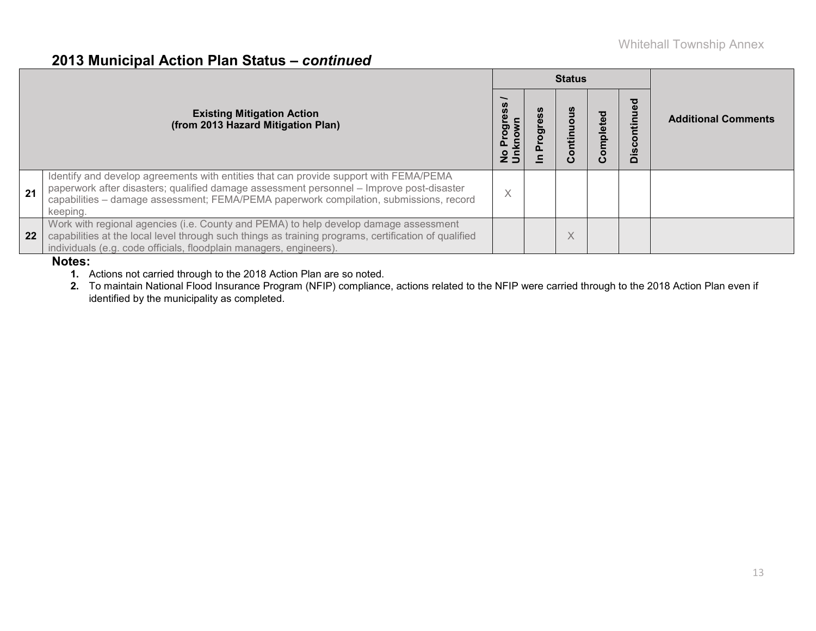### **2013 Municipal Action Plan Status –** *continued*

|    |                                                                                                                                                                                                                                                                                         |          |    |   | <b>Status</b>                         |                        |                            |
|----|-----------------------------------------------------------------------------------------------------------------------------------------------------------------------------------------------------------------------------------------------------------------------------------------|----------|----|---|---------------------------------------|------------------------|----------------------------|
|    | <b>Existing Mitigation Action</b><br>(from 2013 Hazard Mitigation Plan)                                                                                                                                                                                                                 | nknow    | ರಾ |   | 亟<br>mplet<br>$\overline{\mathbf{o}}$ | <u>isc</u><br>$\Omega$ | <b>Additional Comments</b> |
| 21 | Identify and develop agreements with entities that can provide support with FEMA/PEMA<br>paperwork after disasters; qualified damage assessment personnel - Improve post-disaster<br>capabilities - damage assessment; FEMA/PEMA paperwork compilation, submissions, record<br>keeping. | $\times$ |    |   |                                       |                        |                            |
| 22 | Work with regional agencies (i.e. County and PEMA) to help develop damage assessment<br>capabilities at the local level through such things as training programs, certification of qualified<br>individuals (e.g. code officials, floodplain managers, engineers).                      |          |    | X |                                       |                        |                            |

#### **Notes:**

**1.** Actions not carried through to the 2018 Action Plan are so noted.

**2.** To maintain National Flood Insurance Program (NFIP) compliance, actions related to the NFIP were carried through to the 2018 Action Plan even if identified by the municipality as completed.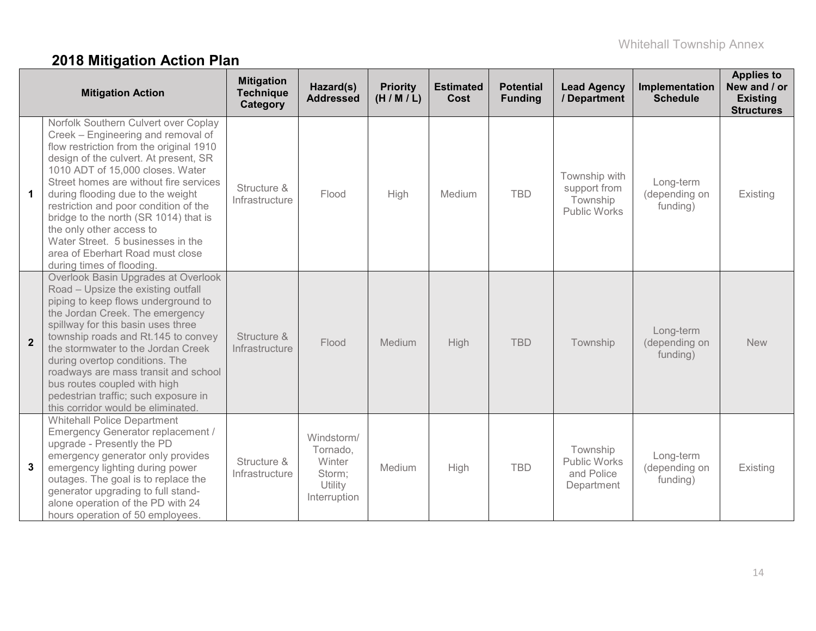# **2018 Mitigation Action Plan**

|                | <b>Mitigation Action</b>                                                                                                                                                                                                                                                                                                                                                                                                                                                                              | <b>Mitigation</b><br><b>Technique</b><br>Category | Hazard(s)<br><b>Addressed</b>                                         | <b>Priority</b><br>(H/M/L) | <b>Estimated</b><br>Cost | <b>Potential</b><br><b>Funding</b> | <b>Lead Agency</b><br>/ Department                               | Implementation<br><b>Schedule</b>      | <b>Applies to</b><br>New and / or<br><b>Existing</b><br><b>Structures</b> |
|----------------|-------------------------------------------------------------------------------------------------------------------------------------------------------------------------------------------------------------------------------------------------------------------------------------------------------------------------------------------------------------------------------------------------------------------------------------------------------------------------------------------------------|---------------------------------------------------|-----------------------------------------------------------------------|----------------------------|--------------------------|------------------------------------|------------------------------------------------------------------|----------------------------------------|---------------------------------------------------------------------------|
| 1.             | Norfolk Southern Culvert over Coplay<br>Creek – Engineering and removal of<br>flow restriction from the original 1910<br>design of the culvert. At present, SR<br>1010 ADT of 15,000 closes. Water<br>Street homes are without fire services<br>during flooding due to the weight<br>restriction and poor condition of the<br>bridge to the north (SR 1014) that is<br>the only other access to<br>Water Street. 5 businesses in the<br>area of Eberhart Road must close<br>during times of flooding. | Structure &<br>Infrastructure                     | Flood                                                                 | High                       | Medium                   | <b>TBD</b>                         | Township with<br>support from<br>Township<br><b>Public Works</b> | Long-term<br>(depending on<br>funding) | Existing                                                                  |
| $\overline{2}$ | Overlook Basin Upgrades at Overlook<br>Road - Upsize the existing outfall<br>piping to keep flows underground to<br>the Jordan Creek. The emergency<br>spillway for this basin uses three<br>township roads and Rt.145 to convey<br>the stormwater to the Jordan Creek<br>during overtop conditions. The<br>roadways are mass transit and school<br>bus routes coupled with high<br>pedestrian traffic; such exposure in<br>this corridor would be eliminated.                                        | Structure &<br>Infrastructure                     | Flood                                                                 | Medium                     | <b>High</b>              | <b>TBD</b>                         | Township                                                         | Long-term<br>(depending on<br>funding) | <b>New</b>                                                                |
| 3              | <b>Whitehall Police Department</b><br>Emergency Generator replacement /<br>upgrade - Presently the PD<br>emergency generator only provides<br>emergency lighting during power<br>outages. The goal is to replace the<br>generator upgrading to full stand-<br>alone operation of the PD with 24<br>hours operation of 50 employees.                                                                                                                                                                   | Structure &<br>Infrastructure                     | Windstorm/<br>Tornado,<br>Winter<br>Storm;<br>Utility<br>Interruption | Medium                     | High                     | <b>TBD</b>                         | Township<br><b>Public Works</b><br>and Police<br>Department      | Long-term<br>(depending on<br>funding) | Existing                                                                  |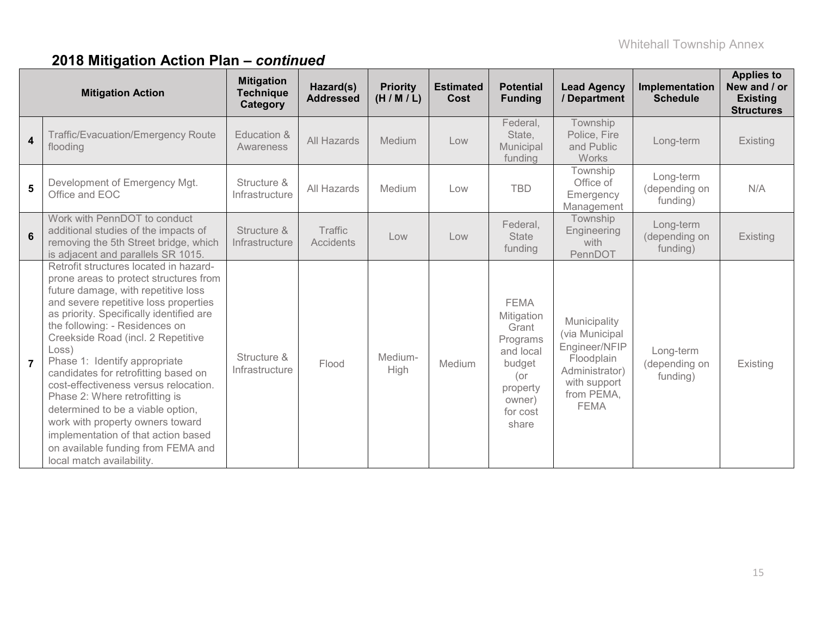|                | <b>Mitigation Action</b>                                                                                                                                                                                                                                                                                                                                                                                                                                                                                                                                                                                                             | <b>Mitigation</b><br><b>Technique</b><br>Category | Hazard(s)<br><b>Addressed</b> | <b>Priority</b><br>(H/M/L) | <b>Estimated</b><br>Cost | <b>Potential</b><br><b>Funding</b>                                                                                      | <b>Lead Agency</b><br>/ Department                                                                                           | Implementation<br><b>Schedule</b>      | <b>Applies to</b><br>New and / or<br><b>Existing</b><br><b>Structures</b> |
|----------------|--------------------------------------------------------------------------------------------------------------------------------------------------------------------------------------------------------------------------------------------------------------------------------------------------------------------------------------------------------------------------------------------------------------------------------------------------------------------------------------------------------------------------------------------------------------------------------------------------------------------------------------|---------------------------------------------------|-------------------------------|----------------------------|--------------------------|-------------------------------------------------------------------------------------------------------------------------|------------------------------------------------------------------------------------------------------------------------------|----------------------------------------|---------------------------------------------------------------------------|
| $\overline{4}$ | Traffic/Evacuation/Emergency Route<br>flooding                                                                                                                                                                                                                                                                                                                                                                                                                                                                                                                                                                                       | Education &<br>Awareness                          | All Hazards                   | Medium                     | Low                      | Federal,<br>State,<br>Municipal<br>funding                                                                              | Township<br>Police, Fire<br>and Public<br>Works                                                                              | Long-term                              | Existing                                                                  |
| 5              | Development of Emergency Mgt.<br>Office and EOC                                                                                                                                                                                                                                                                                                                                                                                                                                                                                                                                                                                      | Structure &<br>Infrastructure                     | All Hazards                   | Medium                     | Low                      | <b>TBD</b>                                                                                                              | Township<br>Office of<br>Emergency<br>Management                                                                             | Long-term<br>(depending on<br>funding) | N/A                                                                       |
| 6              | Work with PennDOT to conduct<br>additional studies of the impacts of<br>removing the 5th Street bridge, which<br>is adjacent and parallels SR 1015.                                                                                                                                                                                                                                                                                                                                                                                                                                                                                  | Structure &<br>Infrastructure                     | Traffic<br><b>Accidents</b>   | Low                        | Low                      | Federal,<br><b>State</b><br>funding                                                                                     | Township<br>Engineering<br>with<br>PennDOT                                                                                   | Long-term<br>(depending on<br>funding) | Existing                                                                  |
| $\overline{7}$ | Retrofit structures located in hazard-<br>prone areas to protect structures from<br>future damage, with repetitive loss<br>and severe repetitive loss properties<br>as priority. Specifically identified are<br>the following: - Residences on<br>Creekside Road (incl. 2 Repetitive<br>Loss)<br>Phase 1: Identify appropriate<br>candidates for retrofitting based on<br>cost-effectiveness versus relocation.<br>Phase 2: Where retrofitting is<br>determined to be a viable option,<br>work with property owners toward<br>implementation of that action based<br>on available funding from FEMA and<br>local match availability. | Structure &<br>Infrastructure                     | Flood                         | Medium-<br>High            | Medium                   | <b>FEMA</b><br>Mitigation<br>Grant<br>Programs<br>and local<br>budget<br>(or<br>property<br>owner)<br>for cost<br>share | Municipality<br>(via Municipal<br>Engineer/NFIP<br>Floodplain<br>Administrator)<br>with support<br>from PEMA,<br><b>FEMA</b> | Long-term<br>(depending on<br>funding) | Existing                                                                  |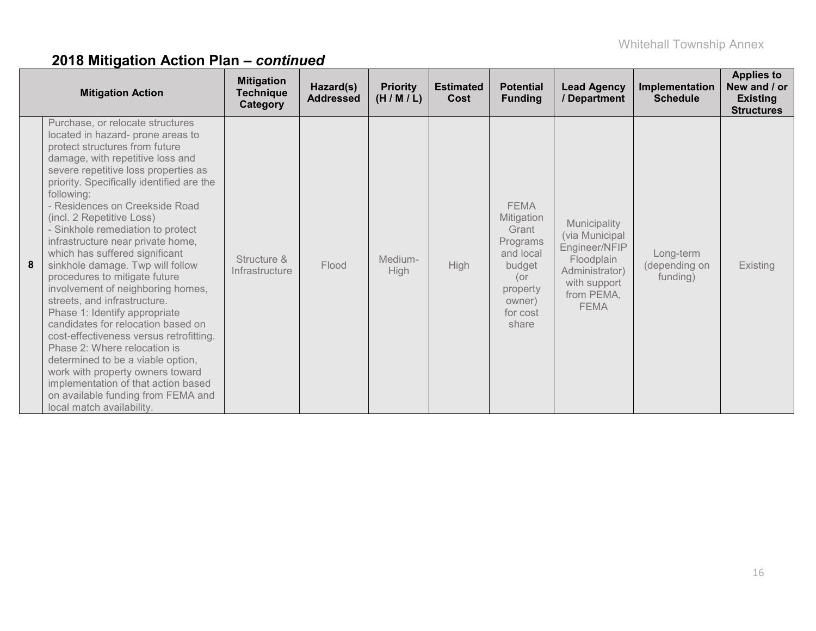|   | <b>Mitigation Action</b>                                                                                                                                                                                                                                                                                                                                                                                                                                                                                                                                                                                                                                                                                                                                                                                                                                                                                 | <b>Mitigation</b><br>Technique<br>Category | Hazard(s)<br><b>Addressed</b> | <b>Priority</b><br>(H/M/L) | <b>Estimated</b><br>Cost | <b>Potential</b><br><b>Funding</b>                                                                                      | <b>Lead Agency</b><br>/ Department                                                                                           | Implementation<br><b>Schedule</b>      | <b>Applies to</b><br>New and / or<br><b>Existing</b><br><b>Structures</b> |
|---|----------------------------------------------------------------------------------------------------------------------------------------------------------------------------------------------------------------------------------------------------------------------------------------------------------------------------------------------------------------------------------------------------------------------------------------------------------------------------------------------------------------------------------------------------------------------------------------------------------------------------------------------------------------------------------------------------------------------------------------------------------------------------------------------------------------------------------------------------------------------------------------------------------|--------------------------------------------|-------------------------------|----------------------------|--------------------------|-------------------------------------------------------------------------------------------------------------------------|------------------------------------------------------------------------------------------------------------------------------|----------------------------------------|---------------------------------------------------------------------------|
| 8 | Purchase, or relocate structures<br>located in hazard- prone areas to<br>protect structures from future<br>damage, with repetitive loss and<br>severe repetitive loss properties as<br>priority. Specifically identified are the<br>following:<br>- Residences on Creekside Road<br>(incl. 2 Repetitive Loss)<br>- Sinkhole remediation to protect<br>infrastructure near private home,<br>which has suffered significant<br>sinkhole damage. Twp will follow<br>procedures to mitigate future<br>involvement of neighboring homes,<br>streets, and infrastructure.<br>Phase 1: Identify appropriate<br>candidates for relocation based on<br>cost-effectiveness versus retrofitting.<br>Phase 2: Where relocation is<br>determined to be a viable option,<br>work with property owners toward<br>implementation of that action based<br>on available funding from FEMA and<br>local match availability. | Structure &<br>Infrastructure              | Flood                         | Medium-<br>High            | <b>High</b>              | <b>FEMA</b><br>Mitigation<br>Grant<br>Programs<br>and local<br>budget<br>(or<br>property<br>owner)<br>for cost<br>share | Municipality<br>(via Municipal<br>Engineer/NFIP<br>Floodplain<br>Administrator)<br>with support<br>from PEMA,<br><b>FEMA</b> | Long-term<br>(depending on<br>funding) | <b>Existing</b>                                                           |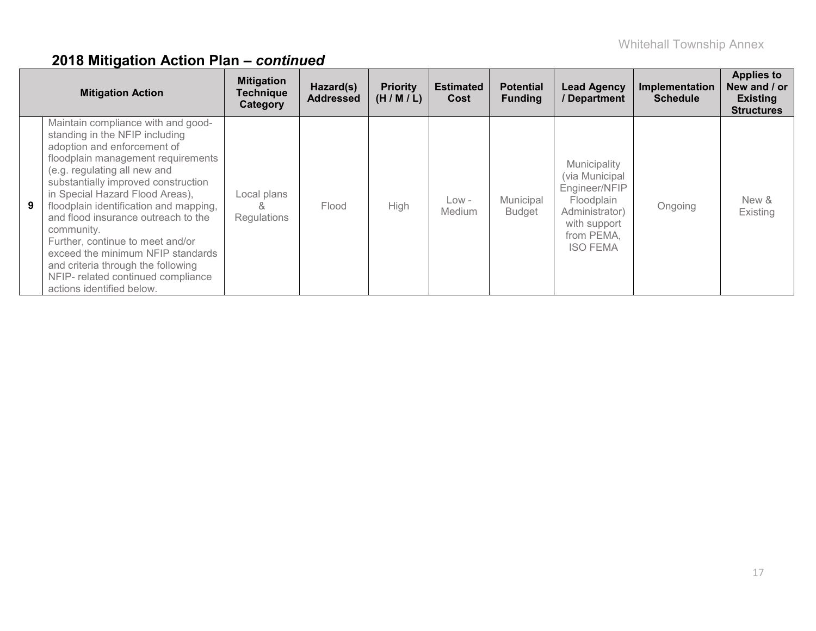|   | <b>Mitigation Action</b>                                                                                                                                                                                                                                                                                                                                                                                                                                                                                                             | <b>Mitigation</b><br><b>Technique</b><br>Category | Hazard(s)<br><b>Addressed</b> | <b>Priority</b><br>(H/M/L) | <b>Estimated</b><br>Cost | <b>Potential</b><br><b>Funding</b> | <b>Lead Agency</b><br>/ Department                                                                                               | Implementation<br><b>Schedule</b> | <b>Applies to</b><br>New and / or<br><b>Existing</b><br><b>Structures</b> |
|---|--------------------------------------------------------------------------------------------------------------------------------------------------------------------------------------------------------------------------------------------------------------------------------------------------------------------------------------------------------------------------------------------------------------------------------------------------------------------------------------------------------------------------------------|---------------------------------------------------|-------------------------------|----------------------------|--------------------------|------------------------------------|----------------------------------------------------------------------------------------------------------------------------------|-----------------------------------|---------------------------------------------------------------------------|
| 9 | Maintain compliance with and good-<br>standing in the NFIP including<br>adoption and enforcement of<br>floodplain management requirements<br>(e.g. regulating all new and<br>substantially improved construction<br>in Special Hazard Flood Areas),<br>floodplain identification and mapping,<br>and flood insurance outreach to the<br>community.<br>Further, continue to meet and/or<br>exceed the minimum NFIP standards<br>and criteria through the following<br>NFIP- related continued compliance<br>actions identified below. | Local plans<br>×.<br>Regulations                  | Flood                         | <b>High</b>                | $Low -$<br>Medium        | Municipal<br><b>Budget</b>         | Municipality<br>(via Municipal<br>Engineer/NFIP<br>Floodplain<br>Administrator)<br>with support<br>from PEMA,<br><b>ISO FEMA</b> | Ongoing                           | New &<br>Existing                                                         |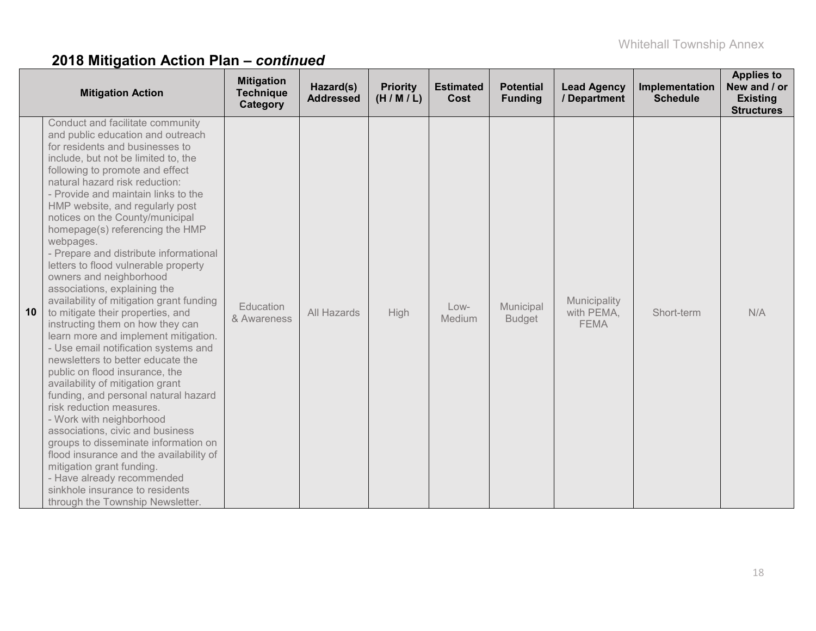|    | <b>Mitigation Action</b>                                                                                                                                                                                                                                                                                                                                                                                                                                                                                                                                                                                                                                                                                                                                                                                                                                                                                                                                                                                                                                                                                                                                                                                | <b>Mitigation</b><br><b>Technique</b><br>Category | Hazard(s)<br><b>Addressed</b> | <b>Priority</b><br>(H/M/L) | <b>Estimated</b><br>Cost | <b>Potential</b><br><b>Funding</b> | <b>Lead Agency</b><br>/ Department        | Implementation<br><b>Schedule</b> | <b>Applies to</b><br>New and / or<br><b>Existing</b><br><b>Structures</b> |
|----|---------------------------------------------------------------------------------------------------------------------------------------------------------------------------------------------------------------------------------------------------------------------------------------------------------------------------------------------------------------------------------------------------------------------------------------------------------------------------------------------------------------------------------------------------------------------------------------------------------------------------------------------------------------------------------------------------------------------------------------------------------------------------------------------------------------------------------------------------------------------------------------------------------------------------------------------------------------------------------------------------------------------------------------------------------------------------------------------------------------------------------------------------------------------------------------------------------|---------------------------------------------------|-------------------------------|----------------------------|--------------------------|------------------------------------|-------------------------------------------|-----------------------------------|---------------------------------------------------------------------------|
| 10 | Conduct and facilitate community<br>and public education and outreach<br>for residents and businesses to<br>include, but not be limited to, the<br>following to promote and effect<br>natural hazard risk reduction:<br>- Provide and maintain links to the<br>HMP website, and regularly post<br>notices on the County/municipal<br>homepage(s) referencing the HMP<br>webpages.<br>- Prepare and distribute informational<br>letters to flood vulnerable property<br>owners and neighborhood<br>associations, explaining the<br>availability of mitigation grant funding<br>to mitigate their properties, and<br>instructing them on how they can<br>learn more and implement mitigation.<br>- Use email notification systems and<br>newsletters to better educate the<br>public on flood insurance, the<br>availability of mitigation grant<br>funding, and personal natural hazard<br>risk reduction measures.<br>- Work with neighborhood<br>associations, civic and business<br>groups to disseminate information on<br>flood insurance and the availability of<br>mitigation grant funding.<br>- Have already recommended<br>sinkhole insurance to residents<br>through the Township Newsletter. | Education<br>& Awareness                          | All Hazards                   | High                       | Low-<br>Medium           | Municipal<br><b>Budget</b>         | Municipality<br>with PEMA,<br><b>FEMA</b> | Short-term                        | N/A                                                                       |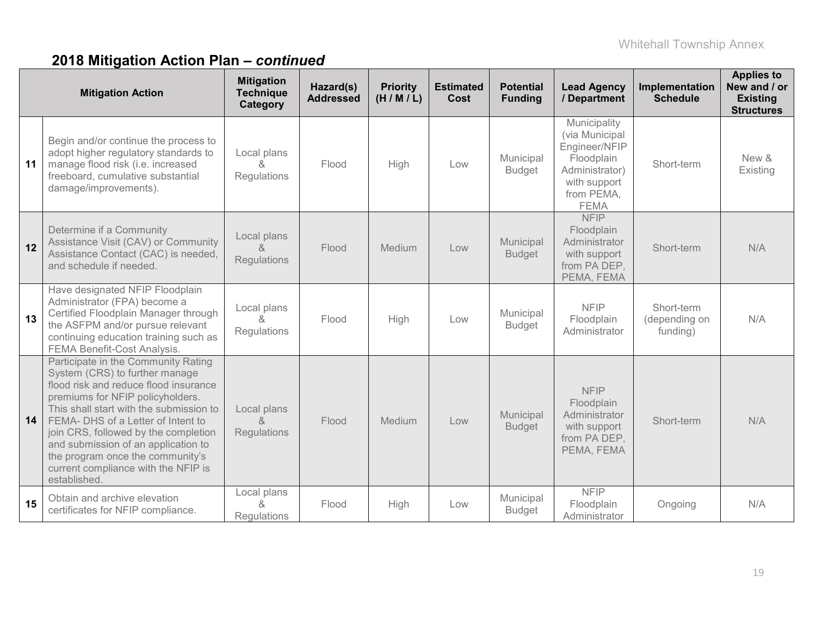|    | <b>Mitigation Action</b>                                                                                                                                                                                                                                                                                                                                                                                      | <b>Mitigation</b><br><b>Technique</b><br>Category | Hazard(s)<br><b>Addressed</b> | <b>Priority</b><br>(H/M/L) | <b>Estimated</b><br>Cost | <b>Potential</b><br><b>Funding</b> | <b>Lead Agency</b><br>/ Department                                                                                           | Implementation<br><b>Schedule</b>       | <b>Applies to</b><br>New and / or<br><b>Existing</b><br><b>Structures</b> |
|----|---------------------------------------------------------------------------------------------------------------------------------------------------------------------------------------------------------------------------------------------------------------------------------------------------------------------------------------------------------------------------------------------------------------|---------------------------------------------------|-------------------------------|----------------------------|--------------------------|------------------------------------|------------------------------------------------------------------------------------------------------------------------------|-----------------------------------------|---------------------------------------------------------------------------|
| 11 | Begin and/or continue the process to<br>adopt higher regulatory standards to<br>manage flood risk (i.e. increased<br>freeboard, cumulative substantial<br>damage/improvements).                                                                                                                                                                                                                               | Local plans<br>&<br>Regulations                   | Flood                         | High                       | Low                      | Municipal<br><b>Budget</b>         | Municipality<br>(via Municipal<br>Engineer/NFIP<br>Floodplain<br>Administrator)<br>with support<br>from PEMA,<br><b>FEMA</b> | Short-term                              | New &<br>Existing                                                         |
| 12 | Determine if a Community<br>Assistance Visit (CAV) or Community<br>Assistance Contact (CAC) is needed,<br>and schedule if needed.                                                                                                                                                                                                                                                                             | Local plans<br>&<br>Regulations                   | Flood                         | Medium                     | Low                      | Municipal<br><b>Budget</b>         | <b>NFIP</b><br>Floodplain<br>Administrator<br>with support<br>from PA DEP,<br>PEMA, FEMA                                     | Short-term                              | N/A                                                                       |
| 13 | Have designated NFIP Floodplain<br>Administrator (FPA) become a<br>Certified Floodplain Manager through<br>the ASFPM and/or pursue relevant<br>continuing education training such as<br>FEMA Benefit-Cost Analysis.                                                                                                                                                                                           | Local plans<br>&<br>Regulations                   | Flood                         | High                       | Low                      | Municipal<br><b>Budget</b>         | <b>NFIP</b><br>Floodplain<br>Administrator                                                                                   | Short-term<br>(depending on<br>funding) | N/A                                                                       |
| 14 | Participate in the Community Rating<br>System (CRS) to further manage<br>flood risk and reduce flood insurance<br>premiums for NFIP policyholders.<br>This shall start with the submission to<br>FEMA- DHS of a Letter of Intent to<br>join CRS, followed by the completion<br>and submission of an application to<br>the program once the community's<br>current compliance with the NFIP is<br>established. | Local plans<br>&<br>Regulations                   | Flood                         | Medium                     | Low                      | Municipal<br><b>Budget</b>         | <b>NFIP</b><br>Floodplain<br>Administrator<br>with support<br>from PA DEP,<br>PEMA, FEMA                                     | Short-term                              | N/A                                                                       |
| 15 | Obtain and archive elevation<br>certificates for NFIP compliance.                                                                                                                                                                                                                                                                                                                                             | Local plans<br>&<br><b>Regulations</b>            | Flood                         | High                       | Low                      | Municipal<br><b>Budget</b>         | <b>NFIP</b><br>Floodplain<br>Administrator                                                                                   | Ongoing                                 | N/A                                                                       |